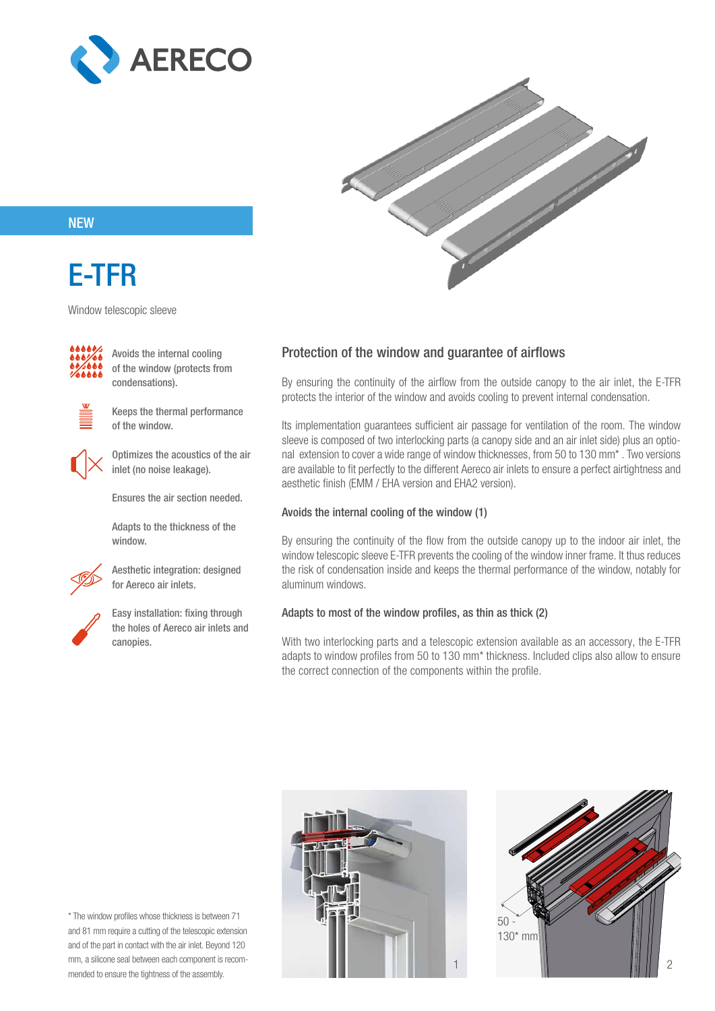



### **NEW**

# E-TFR

Window telescopic sleeve



Avoids the internal cooling of the window (protects from condensations).



Keeps the thermal performance of the window.



Optimizes the acoustics of the air inlet (no noise leakage).

Ensures the air section needed.

Adapts to the thickness of the window.



Aesthetic integration: designed for Aereco air inlets.



Easy installation: fixing through the holes of Aereco air inlets and canopies.

### Protection of the window and guarantee of airflows

By ensuring the continuity of the airflow from the outside canopy to the air inlet, the E-TFR protects the interior of the window and avoids cooling to prevent internal condensation.

Its implementation guarantees sufficient air passage for ventilation of the room. The window sleeve is composed of two interlocking parts (a canopy side and an air inlet side) plus an optional extension to cover a wide range of window thicknesses, from 50 to 130 mm\* . Two versions are available to fit perfectly to the different Aereco air inlets to ensure a perfect airtightness and aesthetic finish (EMM / EHA version and EHA2 version).

#### Avoids the internal cooling of the window (1)

By ensuring the continuity of the flow from the outside canopy up to the indoor air inlet, the window telescopic sleeve E-TFR prevents the cooling of the window inner frame. It thus reduces the risk of condensation inside and keeps the thermal performance of the window, notably for aluminum windows.

#### Adapts to most of the window profiles, as thin as thick (2)

With two interlocking parts and a telescopic extension available as an accessory, the E-TFR adapts to window profiles from 50 to 130 mm\* thickness. Included clips also allow to ensure the correct connection of the components within the profile.

\* The window profiles whose thickness is between 71 and 81 mm require a cutting of the telescopic extension and of the part in contact with the air inlet. Beyond 120 mm, a silicone seal between each component is recommended to ensure the tightness of the assembly.